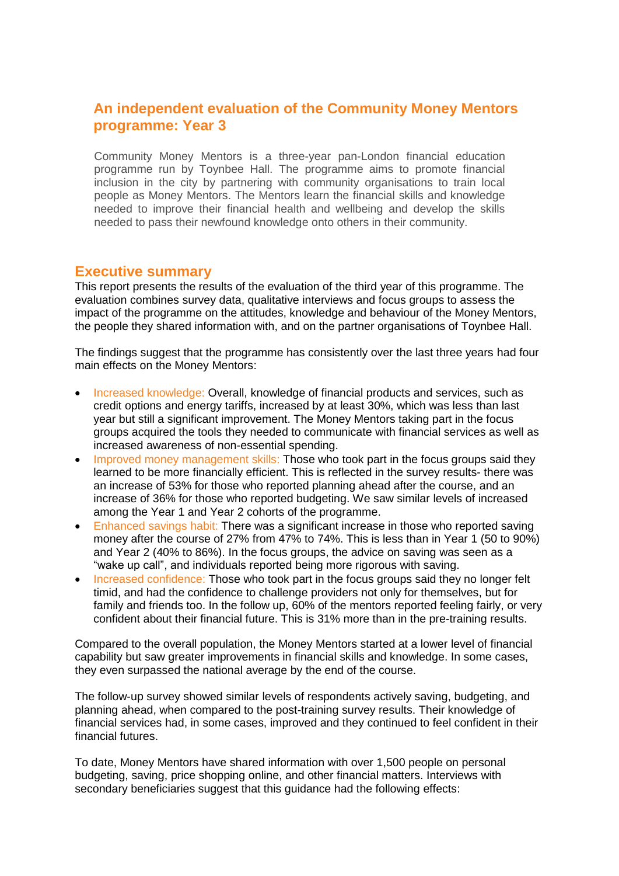## **An independent evaluation of the Community Money Mentors programme: Year 3**

Community Money Mentors is a three-year pan-London financial education programme run by Toynbee Hall. The programme aims to promote financial inclusion in the city by partnering with community organisations to train local people as Money Mentors. The Mentors learn the financial skills and knowledge needed to improve their financial health and wellbeing and develop the skills needed to pass their newfound knowledge onto others in their community.

## **Executive summary**

This report presents the results of the evaluation of the third year of this programme. The evaluation combines survey data, qualitative interviews and focus groups to assess the impact of the programme on the attitudes, knowledge and behaviour of the Money Mentors, the people they shared information with, and on the partner organisations of Toynbee Hall.

The findings suggest that the programme has consistently over the last three years had four main effects on the Money Mentors:

- Increased knowledge: Overall, knowledge of financial products and services, such as credit options and energy tariffs, increased by at least 30%, which was less than last year but still a significant improvement. The Money Mentors taking part in the focus groups acquired the tools they needed to communicate with financial services as well as increased awareness of non-essential spending.
- Improved money management skills: Those who took part in the focus groups said they learned to be more financially efficient. This is reflected in the survey results- there was an increase of 53% for those who reported planning ahead after the course, and an increase of 36% for those who reported budgeting. We saw similar levels of increased among the Year 1 and Year 2 cohorts of the programme.
- Enhanced savings habit: There was a significant increase in those who reported saving money after the course of 27% from 47% to 74%. This is less than in Year 1 (50 to 90%) and Year 2 (40% to 86%). In the focus groups, the advice on saving was seen as a "wake up call", and individuals reported being more rigorous with saving.
- Increased confidence: Those who took part in the focus groups said they no longer felt timid, and had the confidence to challenge providers not only for themselves, but for family and friends too. In the follow up, 60% of the mentors reported feeling fairly, or very confident about their financial future. This is 31% more than in the pre-training results.

Compared to the overall population, the Money Mentors started at a lower level of financial capability but saw greater improvements in financial skills and knowledge. In some cases, they even surpassed the national average by the end of the course.

The follow-up survey showed similar levels of respondents actively saving, budgeting, and planning ahead, when compared to the post-training survey results. Their knowledge of financial services had, in some cases, improved and they continued to feel confident in their financial futures.

To date, Money Mentors have shared information with over 1,500 people on personal budgeting, saving, price shopping online, and other financial matters. Interviews with secondary beneficiaries suggest that this guidance had the following effects: